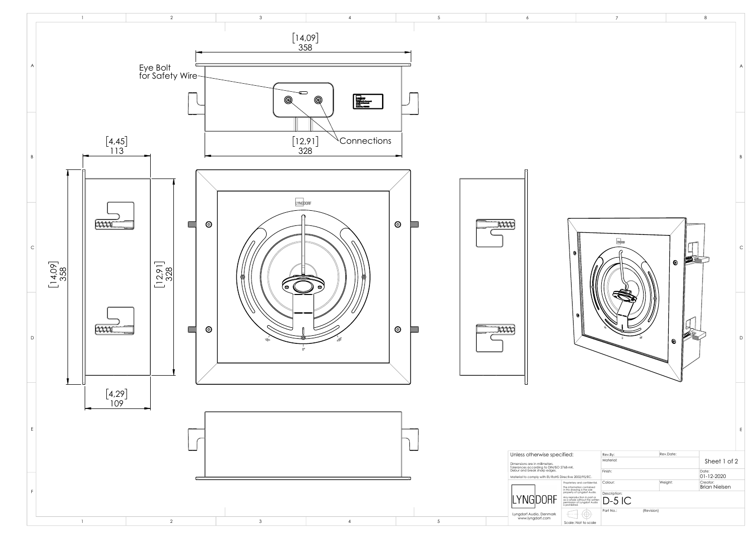